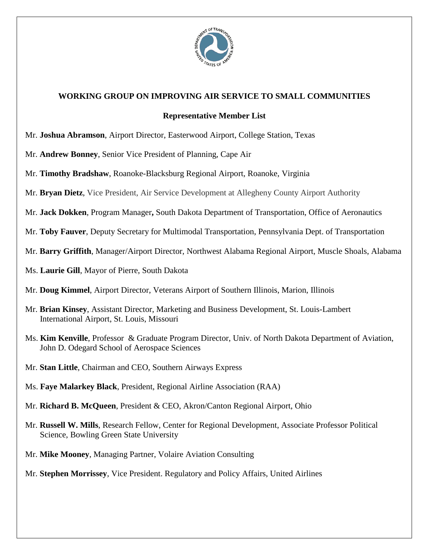

## **WORKING GROUP ON IMPROVING AIR SERVICE TO SMALL COMMUNITIES**

## **Representative Member List**

- Mr. **Joshua Abramson**, Airport Director, Easterwood Airport, College Station, Texas
- Mr. **Andrew Bonney**, Senior Vice President of Planning, Cape Air
- Mr. **Timothy Bradshaw**, Roanoke-Blacksburg Regional Airport, Roanoke, Virginia
- Mr. **Bryan Dietz**, Vice President, Air Service Development at Allegheny County Airport Authority
- Mr. **Jack Dokken**, Program Manager**,** [South Dakota Department of Transportation, Office of Aeronautics](http://www.sddot.com/transportation/aviation/Default.aspx)
- Mr. **Toby Fauver**, Deputy Secretary for Multimodal Transportation, Pennsylvania Dept. of Transportation
- Mr. **Barry Griffith**, Manager/Airport Director, Northwest Alabama Regional Airport, Muscle Shoals, Alabama
- Ms. **Laurie Gill**, Mayor of Pierre, South Dakota
- Mr. **Doug Kimmel**, Airport Director, Veterans Airport of Southern Illinois, Marion, Illinois
- Mr. **Brian Kinsey**, Assistant Director, Marketing and Business Development, St. Louis-Lambert International Airport, St. Louis, Missouri
- Ms. **Kim Kenville**, Professor & Graduate Program Director, Univ. of North Dakota Department of Aviation, John D. Odegard School of Aerospace Sciences
- Mr. **Stan Little**, Chairman and CEO, Southern Airways Express
- Ms. **Faye Malarkey Black**, President, Regional Airline Association (RAA)
- Mr. **Richard B. McQueen**, President & CEO, Akron/Canton Regional Airport, Ohio
- Mr. **Russell W. Mills**, Research Fellow, Center for Regional Development, Associate Professor Political Science, Bowling Green State University
- Mr. **Mike Mooney**, Managing Partner, Volaire Aviation Consulting
- Mr. **Stephen Morrissey**, Vice President. Regulatory and Policy Affairs, United Airlines